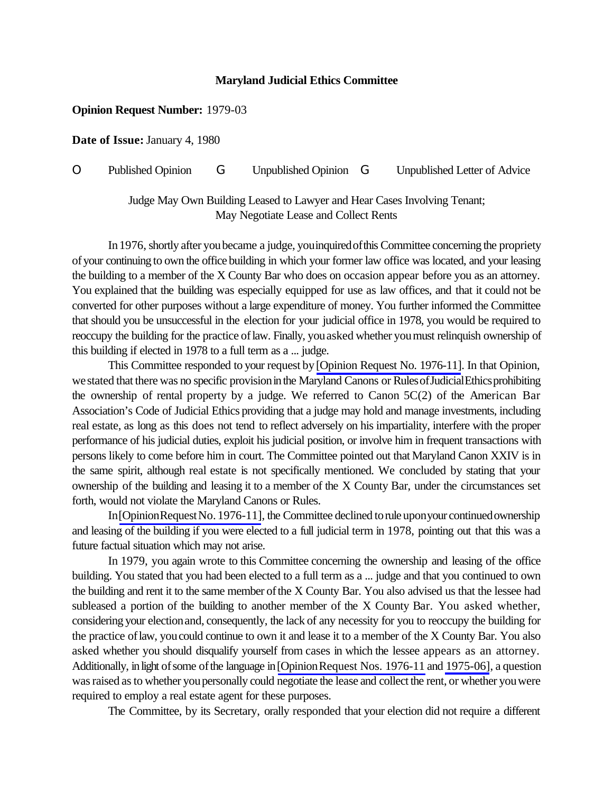## **Maryland Judicial Ethics Committee**

## **Opinion Request Number:** 1979-03

**Date of Issue:** January 4, 1980

O Published Opinion G Unpublished Opinion G Unpublished Letter of Advice

## Judge May Own Building Leased to Lawyer and Hear Cases Involving Tenant; May Negotiate Lease and Collect Rents

In 1976, shortly after you became a judge, you inquired of this Committee concerning the propriety ofyour continuing to own the office building in which your former law office was located, and your leasing the building to a member of the X County Bar who does on occasion appear before you as an attorney. You explained that the building was especially equipped for use as law offices, and that it could not be converted for other purposes without a large expenditure of money. You further informed the Committee that should you be unsuccessful in the election for your judicial office in 1978, you would be required to reoccupy the building for the practice of law. Finally, you asked whether you must relinquish ownership of this building if elected in 1978 to a full term as a ... judge.

This Committee responded to your request by[\[Opinion Request No. 1976-11\]](http://www.mdcourts.gov/ethics/pdfs/1976-11.pdf). In that Opinion, we stated that there was no specific provision in the Maryland Canons or Rules of Judicial Ethics prohibiting the ownership of rental property by a judge. We referred to Canon 5C(2) of the American Bar Association's Code of Judicial Ethics providing that a judge may hold and manage investments, including real estate, as long as this does not tend to reflect adversely on his impartiality, interfere with the proper performance of his judicial duties, exploit his judicial position, or involve him in frequent transactions with persons likely to come before him in court. The Committee pointed out that Maryland Canon XXIV is in the same spirit, although real estate is not specifically mentioned. We concluded by stating that your ownership of the building and leasing it to a member of the X County Bar, under the circumstances set forth, would not violate the Maryland Canons or Rules.

In[\[OpinionRequestNo.](http://www.mdcourts.gov/ethics/pdfs/1976-11.pdf) 1976-11], the Committee declined torule uponyour continuedownership and leasing of the building if you were elected to a full judicial term in 1978, pointing out that this was a future factual situation which may not arise.

In 1979, you again wrote to this Committee concerning the ownership and leasing of the office building. You stated that you had been elected to a full term as a ... judge and that you continued to own the building and rent it to the same member ofthe X County Bar. You also advised us that the lessee had subleased a portion of the building to another member of the X County Bar. You asked whether, considering your electionand, consequently, the lack of any necessity for you to reoccupy the building for the practice oflaw, youcould continue to own it and lease it to a member of the X County Bar. You also asked whether you should disqualify yourself from cases in which the lessee appears as an attorney. Additionally, in light of some of the language in [Opinion Request Nos. 1976-11 and [1975-06\]](http://www.mdcourts.gov/ethics/pdfs/1975-06.pdf), a question was raised as to whether you personally could negotiate the lease and collect the rent, or whether you were required to employ a real estate agent for these purposes.

The Committee, by its Secretary, orally responded that your election did not require a different